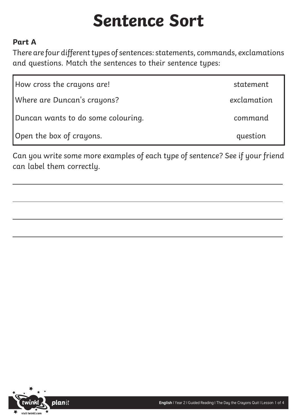# **Sentence Sort**

#### **Part A**

 $\overline{a}$ 

There are four different types of sentences: statements, commands, exclamations and questions. Match the sentences to their sentence types:

| How cross the crayons are!         | statement   |
|------------------------------------|-------------|
| Where are Duncan's crayons?        | exclamation |
| Duncan wants to do some colouring. | command     |
| Open the box of crayons.           | question    |

Can you write some more examples of each type of sentence? See if your friend can label them correctly.



 $\overline{a}$ 

 $\overline{a}$ 

 $\overline{a}$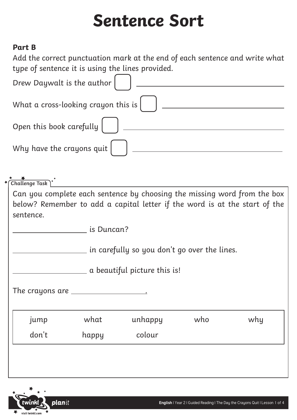# **Sentence Sort**

### **Part B**

Add the correct punctuation mark at the end of each sentence and write what type of sentence it is using the lines provided.

| Drew Daywalt is the author $\begin{pmatrix} 0 & 1 \end{pmatrix}$          |
|---------------------------------------------------------------------------|
| What a cross-looking crayon this is $\begin{bmatrix} 0 & 1 \end{bmatrix}$ |
| Open this book carefully $\begin{bmatrix} 0 & 1 \end{bmatrix}$            |
| Why have the crayons quit $\begin{pmatrix} 0 & 1 \end{pmatrix}$           |

**Challenge Task**

Can you complete each sentence by choosing the missing word from the box below? Remember to add a capital letter if the word is at the start of the sentence.

**is Duncan?** 

in carefully so you don't go over the lines.

a beautiful picture this is!

The crayons are **with the crayons** 

| <b>Jump</b> | what  | unhappy | who | why |
|-------------|-------|---------|-----|-----|
| don't       | happy | colour  |     |     |
|             |       |         |     |     |

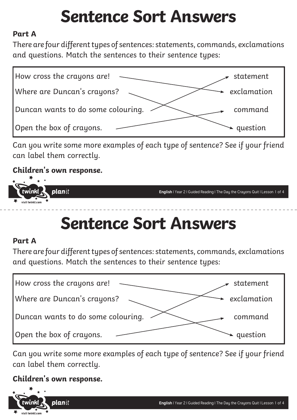# **Sentence Sort Answers**

### **Part A**

There are four different types of sentences: statements, commands, exclamations and questions. Match the sentences to their sentence types:



Can you write some more examples of each type of sentence? See if your friend can label them correctly.

### **Children's own response.**



### **Sentence Sort Answers**

### **Part A**

There are four different types of sentences: statements, commands, exclamations and questions. Match the sentences to their sentence types:

| How cross the crayons are!         | statement   |
|------------------------------------|-------------|
| Where are Duncan's crayons?        | exclamation |
| Duncan wants to do some colouring. | command     |
| Open the box of crayons.           | question    |

Can you write some more examples of each type of sentence? See if your friend can label them correctly.

### **Children's own response.**